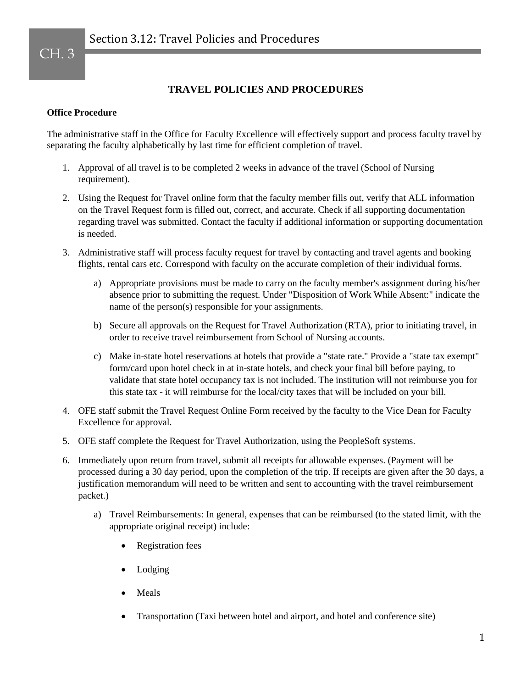## **TRAVEL POLICIES AND PROCEDURES**

## **Office Procedure**

The administrative staff in the Office for Faculty Excellence will effectively support and process faculty travel by separating the faculty alphabetically by last time for efficient completion of travel.

- 1. Approval of all travel is to be completed 2 weeks in advance of the travel (School of Nursing requirement).
- 2. Using the Request for Travel online form that the faculty member fills out, verify that ALL information on the Travel Request form is filled out, correct, and accurate. Check if all supporting documentation regarding travel was submitted. Contact the faculty if additional information or supporting documentation is needed.
- 3. Administrative staff will process faculty request for travel by contacting and travel agents and booking flights, rental cars etc. Correspond with faculty on the accurate completion of their individual forms.
	- a) Appropriate provisions must be made to carry on the faculty member's assignment during his/her absence prior to submitting the request. Under "Disposition of Work While Absent:" indicate the name of the person(s) responsible for your assignments.
	- b) Secure all approvals on the Request for Travel Authorization (RTA), prior to initiating travel, in order to receive travel reimbursement from School of Nursing accounts.
	- c) Make in-state hotel reservations at hotels that provide a "state rate." Provide a "state tax exempt" form/card upon hotel check in at in-state hotels, and check your final bill before paying, to validate that state hotel occupancy tax is not included. The institution will not reimburse you for this state tax - it will reimburse for the local/city taxes that will be included on your bill.
- 4. OFE staff submit the Travel Request Online Form received by the faculty to the Vice Dean for Faculty Excellence for approval.
- 5. OFE staff complete the Request for Travel Authorization, using the PeopleSoft systems.
- 6. Immediately upon return from travel, submit all receipts for allowable expenses. (Payment will be processed during a 30 day period, upon the completion of the trip. If receipts are given after the 30 days, a justification memorandum will need to be written and sent to accounting with the travel reimbursement packet.)
	- a) Travel Reimbursements: In general, expenses that can be reimbursed (to the stated limit, with the appropriate original receipt) include:
		- Registration fees
		- Lodging
		- Meals
		- Transportation (Taxi between hotel and airport, and hotel and conference site)